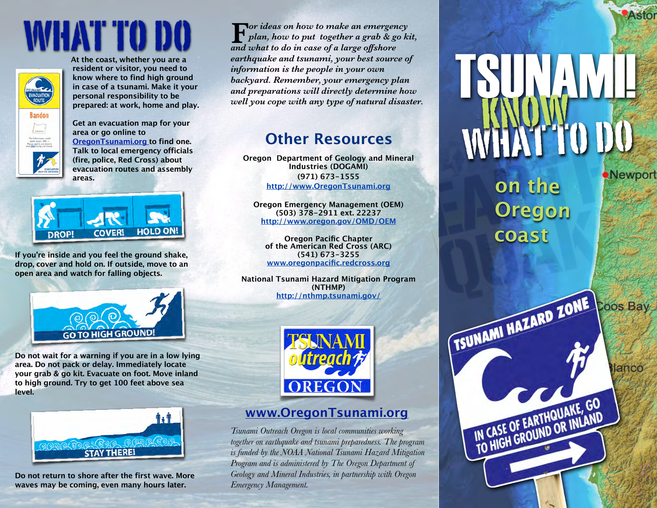# what to do



**At the coast, whether you are a resident or visitor, you need to know where to find high ground in case of a tsunami. Make it your personal responsibility to be prepared: at work, home and play.** 

**Get an evacuation map for your area or go online to [OregonTsunami.org](http://www.oregontsunami.org) to find one. Talk to local emergency officials (fire, police, Red Cross) about evacuation routes and assembly areas.**



**If you're inside and you feel the ground shake, drop, cover and hold on. If outside, move to an open area and watch for falling objects.**



**Do not wait for a warning if you are in a low lying area. Do not pack or delay. Immediately locate your grab & go kit. Evacuate on foot. Move inland to high ground. Try to get 100 feet above sea level.** 



**Do not return to shore after the first wave. More waves may be coming, even many hours later.**

*Por ideas on how to make an emergency plan, how to put together a grab & go kit, a and width what to make an emergen*<br>**F** *a plan, how to put together a grab & got and what to do in case of a large offshore earthquake and tsunami, your best source of information is the people in your own backyard. Remember, your emergency plan and preparations will directly determine how well you cope with any type of natural disaster.*

### **Other Resources**

**Oregon Department of Geology and Mineral Industries (DOGAMI) (971) 673-1555 <http://www.OregonTsunami.org>**

**Oregon Emergency Management (OEM) (503) 378-2911 ext. 22237 http://www.oregon.gov/OMD/OEM**

**Oregon Pacific Chapter of the American Red Cross (ARC) (541) 673-3255 [www.oregonpacific.redcross.org](http://www.oregonpacific.redcross.org)**

**National Tsunami Hazard Mitigation Program (NTHMP) [http://nthmp.tsunami.gov/](http://nthmp.tsunami.gov)**



#### **[www.OregonTsunami.org](http://www.OregonTsunami.org)**

*Tsunami Outreach Oregon is local communities working together on earthquake and tsunami preparedness. The program is funded by the NOAA National Tsunami Hazard Mitigation Program and is administered by The Oregon Department of Geology and Mineral Industries, in partnership with Oregon Emergency Management.*

TSUNAMI! what to do know

**Astor** 

**Newport** 

lanco

**on the Oregon coast**

TSUNAMI HAZARD ZONE OOS BRY

IN CASE OF EARTHQUAKE, GO